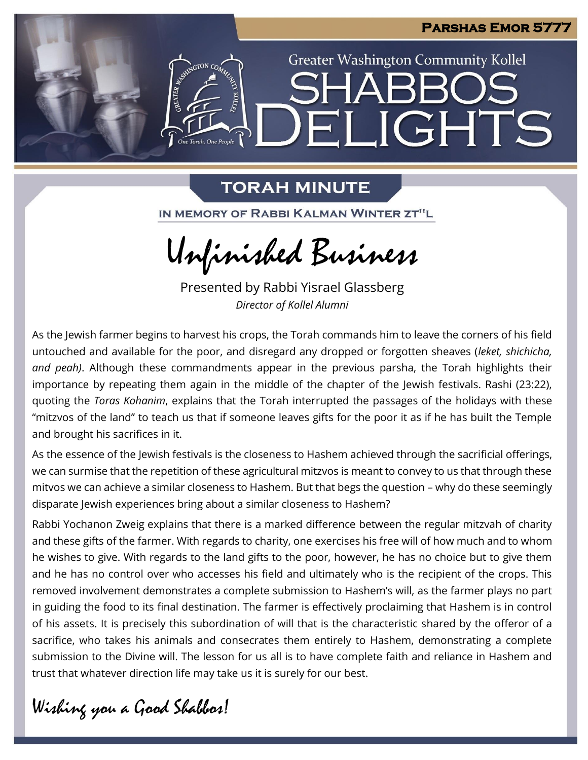

# **TORAH MINUTE**

IN MEMORY OF RABBI KALMAN WINTER ZT"L

Unfinished Business

Presented by Rabbi Yisrael Glassberg *Director of Kollel Alumni*

As the Jewish farmer begins to harvest his crops, the Torah commands him to leave the corners of his field untouched and available for the poor, and disregard any dropped or forgotten sheaves (*leket, shichicha, and peah)*. Although these commandments appear in the previous parsha, the Torah highlights their importance by repeating them again in the middle of the chapter of the Jewish festivals. Rashi (23:22), quoting the *Toras Kohanim*, explains that the Torah interrupted the passages of the holidays with these "mitzvos of the land" to teach us that if someone leaves gifts for the poor it as if he has built the Temple and brought his sacrifices in it.

As the essence of the Jewish festivals is the closeness to Hashem achieved through the sacrificial offerings, we can surmise that the repetition of these agricultural mitzvos is meant to convey to us that through these mitvos we can achieve a similar closeness to Hashem. But that begs the question – why do these seemingly disparate Jewish experiences bring about a similar closeness to Hashem?

Rabbi Yochanon Zweig explains that there is a marked difference between the regular mitzvah of charity and these gifts of the farmer. With regards to charity, one exercises his free will of how much and to whom he wishes to give. With regards to the land gifts to the poor, however, he has no choice but to give them and he has no control over who accesses his field and ultimately who is the recipient of the crops. This removed involvement demonstrates a complete submission to Hashem's will, as the farmer plays no part in guiding the food to its final destination. The farmer is effectively proclaiming that Hashem is in control of his assets. It is precisely this subordination of will that is the characteristic shared by the offeror of a sacrifice, who takes his animals and consecrates them entirely to Hashem, demonstrating a complete submission to the Divine will. The lesson for us all is to have complete faith and reliance in Hashem and trust that whatever direction life may take us it is surely for our best.

Wishing you a Good Shabbos!